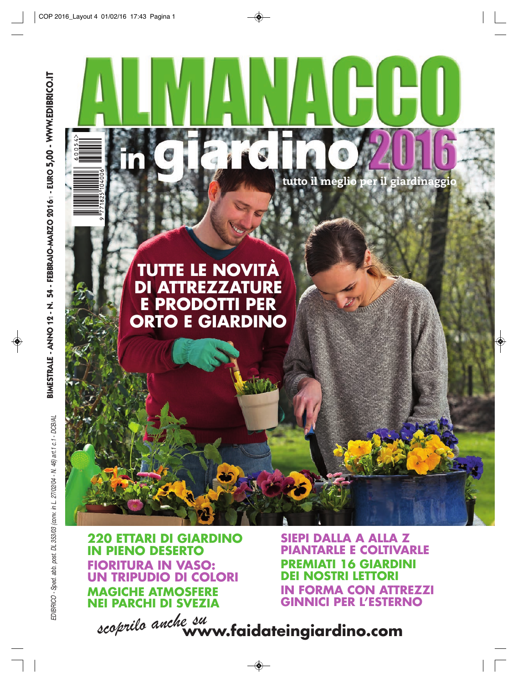tutto il meglio per il giardinaggio

## **TUTTE LE NOVITÀ DI ATTREZZATURE E PRODOTTI PER ORTO E GIARDINO**

**220 ETTARI DI GIARDINO IN PIENO DESERTO FIORITURA IN VASO: UN TRIPUDIO DI COLORI MAGICHE ATMOSFERE NEI PARCHI DI SVEZIA**

**SIEPI DALLA A ALLA Z PIANTARLE E COLTIVARLE PREMIATI 16 GIARDINI NOSTRI LETTORI IN FORMA CON ATTREZZI GINNICI PER L'ESTERNO**

*scoprilo anche su* **www.faidateingiardino.com**